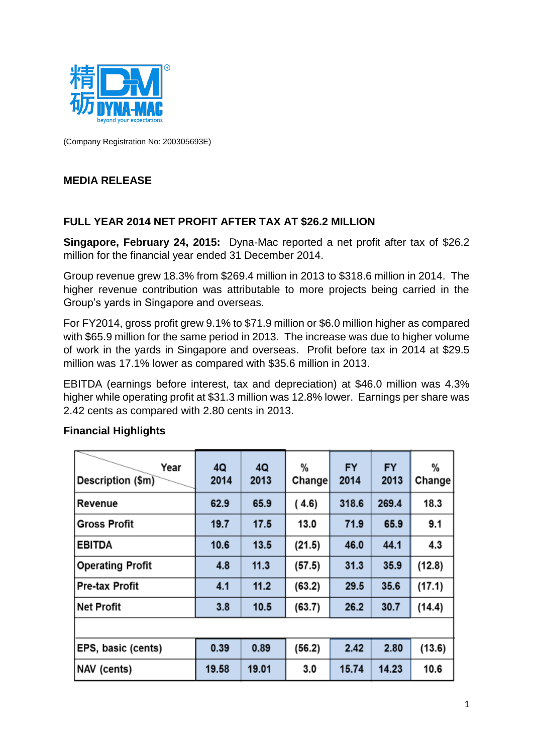

(Company Registration No: 200305693E)

## **MEDIA RELEASE**

### **FULL YEAR 2014 NET PROFIT AFTER TAX AT \$26.2 MILLION**

**Singapore, February 24, 2015:** Dyna-Mac reported a net profit after tax of \$26.2 million for the financial year ended 31 December 2014.

Group revenue grew 18.3% from \$269.4 million in 2013 to \$318.6 million in 2014. The higher revenue contribution was attributable to more projects being carried in the Group's yards in Singapore and overseas.

For FY2014, gross profit grew 9.1% to \$71.9 million or \$6.0 million higher as compared with \$65.9 million for the same period in 2013. The increase was due to higher volume of work in the yards in Singapore and overseas. Profit before tax in 2014 at \$29.5 million was 17.1% lower as compared with \$35.6 million in 2013.

EBITDA (earnings before interest, tax and depreciation) at \$46.0 million was 4.3% higher while operating profit at \$31.3 million was 12.8% lower. Earnings per share was 2.42 cents as compared with 2.80 cents in 2013.

| Year<br>Description (\$m) | 4Q<br>2014 | 4Q<br>2013 | %<br>Change | <b>FY</b><br>2014 | <b>FY</b><br>2013 | %<br>Change |
|---------------------------|------------|------------|-------------|-------------------|-------------------|-------------|
| <b>Revenue</b>            | 62.9       | 65.9       | (4.6)       | 318.6             | 269.4             | 18.3        |
| Gross Profit              | 19.7       | 17.5       | 13.0        | 71.9              | 65.9              | 9.1         |
| <b>EBITDA</b>             | 10.6       | 13.5       | (21.5)      | 46.0              | 44.1              | 4.3         |
| Operating Profit          | 4.8        | 11.3       | (57.5)      | 31.3              | 35.9              | (12.8)      |
| <b>Pre-tax Profit</b>     | 4.1        | 11.2       | (63.2)      | 29.5              | 35.6              | (17.1)      |
| Net Profit                | 3.8        | 10.5       | (63.7)      | 26.2              | 30.7              | (14.4)      |
|                           |            |            |             |                   |                   |             |
| <b>EPS, basic (cents)</b> | 0.39       | 0.89       | (56.2)      | 2.42              | 2.80              | (13.6)      |
| NAV (cents)               | 19.58      | 19.01      | 3.0         | 15.74             | 14.23             | 10.6        |

#### **Financial Highlights**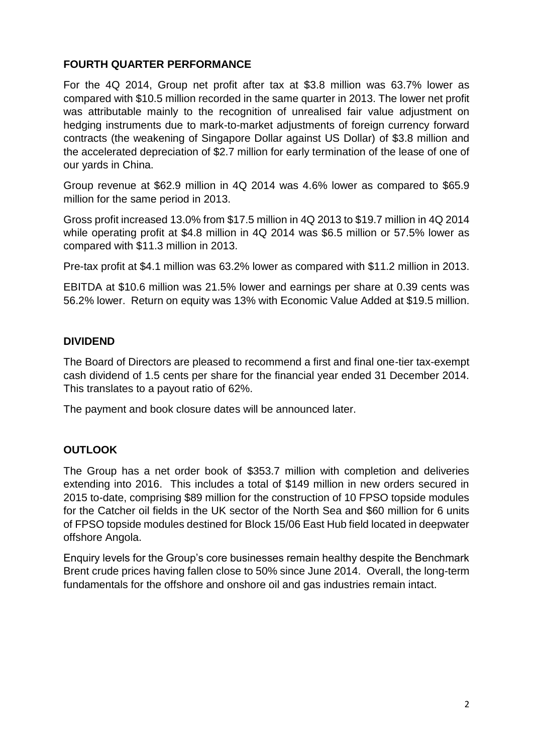## **FOURTH QUARTER PERFORMANCE**

For the 4Q 2014, Group net profit after tax at \$3.8 million was 63.7% lower as compared with \$10.5 million recorded in the same quarter in 2013. The lower net profit was attributable mainly to the recognition of unrealised fair value adjustment on hedging instruments due to mark-to-market adjustments of foreign currency forward contracts (the weakening of Singapore Dollar against US Dollar) of \$3.8 million and the accelerated depreciation of \$2.7 million for early termination of the lease of one of our yards in China.

Group revenue at \$62.9 million in 4Q 2014 was 4.6% lower as compared to \$65.9 million for the same period in 2013.

Gross profit increased 13.0% from \$17.5 million in 4Q 2013 to \$19.7 million in 4Q 2014 while operating profit at \$4.8 million in 4Q 2014 was \$6.5 million or 57.5% lower as compared with \$11.3 million in 2013.

Pre-tax profit at \$4.1 million was 63.2% lower as compared with \$11.2 million in 2013.

EBITDA at \$10.6 million was 21.5% lower and earnings per share at 0.39 cents was 56.2% lower. Return on equity was 13% with Economic Value Added at \$19.5 million.

## **DIVIDEND**

The Board of Directors are pleased to recommend a first and final one-tier tax-exempt cash dividend of 1.5 cents per share for the financial year ended 31 December 2014. This translates to a payout ratio of 62%.

The payment and book closure dates will be announced later.

# **OUTLOOK**

The Group has a net order book of \$353.7 million with completion and deliveries extending into 2016. This includes a total of \$149 million in new orders secured in 2015 to-date, comprising \$89 million for the construction of 10 FPSO topside modules for the Catcher oil fields in the UK sector of the North Sea and \$60 million for 6 units of FPSO topside modules destined for Block 15/06 East Hub field located in deepwater offshore Angola.

Enquiry levels for the Group's core businesses remain healthy despite the Benchmark Brent crude prices having fallen close to 50% since June 2014. Overall, the long-term fundamentals for the offshore and onshore oil and gas industries remain intact.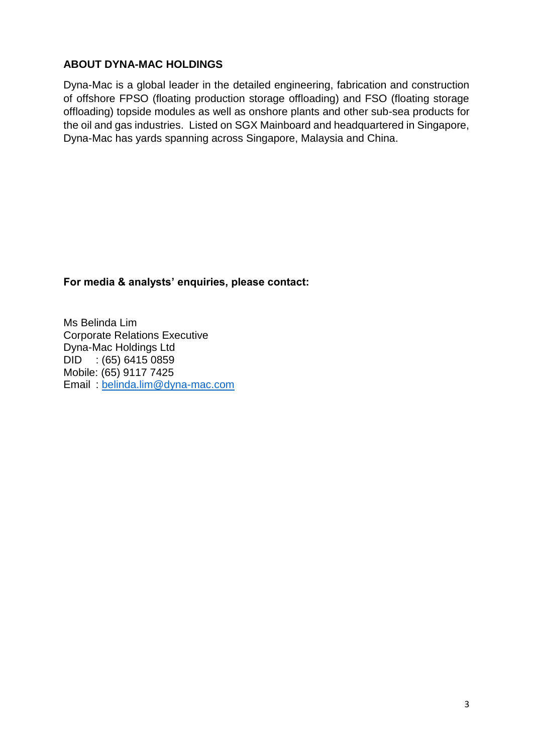## **ABOUT DYNA-MAC HOLDINGS**

Dyna-Mac is a global leader in the detailed engineering, fabrication and construction of offshore FPSO (floating production storage offloading) and FSO (floating storage offloading) topside modules as well as onshore plants and other sub-sea products for the oil and gas industries. Listed on SGX Mainboard and headquartered in Singapore, Dyna-Mac has yards spanning across Singapore, Malaysia and China.

## **For media & analysts' enquiries, please contact:**

Ms Belinda Lim Corporate Relations Executive Dyna-Mac Holdings Ltd DID : (65) 6415 0859 Mobile: (65) 9117 7425 Email : [belinda.lim@dyna-mac.com](mailto:belinda.lim@dyna-mac.com)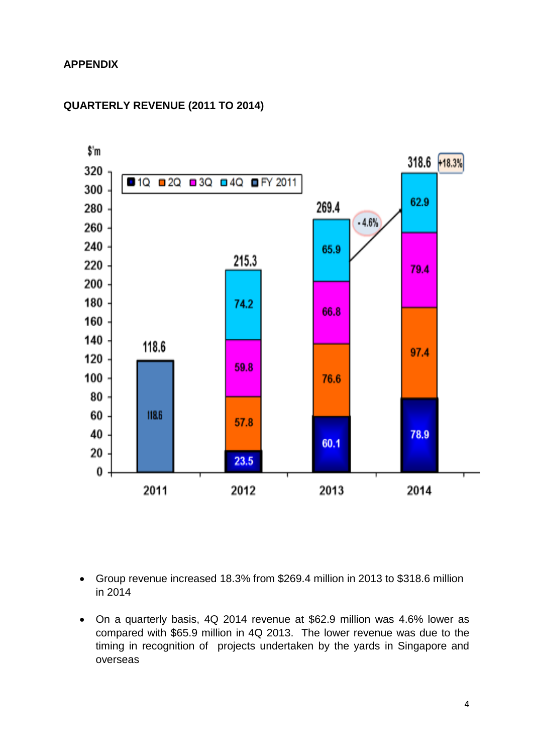## **APPENDIX**



### **QUARTERLY REVENUE (2011 TO 2014)**

- Group revenue increased 18.3% from \$269.4 million in 2013 to \$318.6 million in 2014
- On a quarterly basis, 4Q 2014 revenue at \$62.9 million was 4.6% lower as compared with \$65.9 million in 4Q 2013. The lower revenue was due to the timing in recognition of projects undertaken by the yards in Singapore and overseas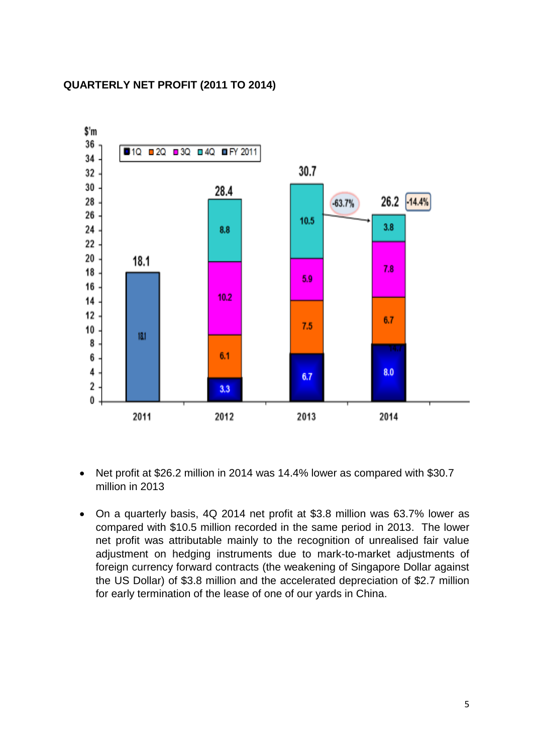#### **QUARTERLY NET PROFIT (2011 TO 2014)**



- Net profit at \$26.2 million in 2014 was 14.4% lower as compared with \$30.7 million in 2013
- On a quarterly basis, 4Q 2014 net profit at \$3.8 million was 63.7% lower as compared with \$10.5 million recorded in the same period in 2013. The lower net profit was attributable mainly to the recognition of unrealised fair value adjustment on hedging instruments due to mark-to-market adjustments of foreign currency forward contracts (the weakening of Singapore Dollar against the US Dollar) of \$3.8 million and the accelerated depreciation of \$2.7 million for early termination of the lease of one of our yards in China.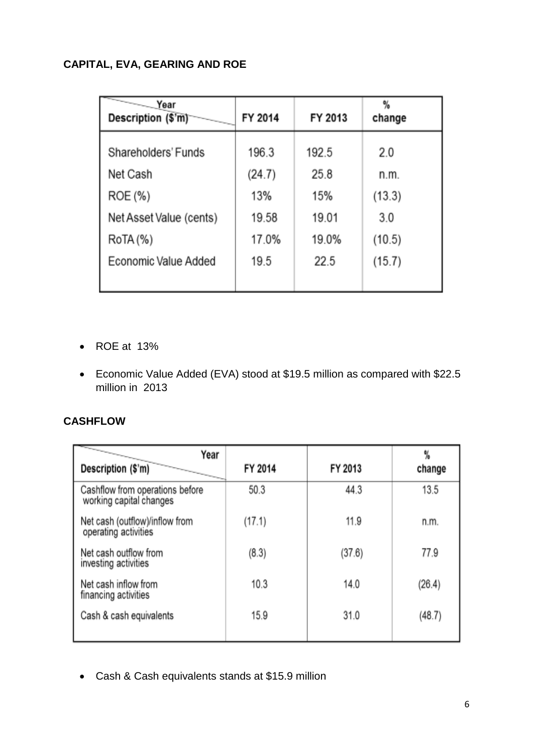# **CAPITAL, EVA, GEARING AND ROE**

| $\overline{\phantom{0}}$<br>Year<br>Description (\$'m) | FY 2014       | FY 2013     | %<br>change    |
|--------------------------------------------------------|---------------|-------------|----------------|
| Shareholders' Funds                                    | 196.3         | 192.5       | 2.0            |
| Net Cash<br>ROE (%)                                    | (24.7)<br>13% | 25.8<br>15% | n.m.<br>(13.3) |
| Net Asset Value (cents)                                | 19.58         | 19.01       | 3.0            |
| RoTA (%)                                               | 17.0%         | 19.0%       | (10.5)         |
| Economic Value Added                                   | 19.5          | 22.5        | (15.7)         |
|                                                        |               |             |                |

ROE at 13%

 Economic Value Added (EVA) stood at \$19.5 million as compared with \$22.5 million in 2013

## **CASHFLOW**

| Year<br>Description (\$'m)                                 | FY 2014 | FY 2013 | %<br>change |
|------------------------------------------------------------|---------|---------|-------------|
| Cashflow from operations before<br>working capital changes | 50.3    | 44.3    | 13.5        |
| Net cash (outflow)/inflow from<br>operating activities     | (17.1)  | 11.9    | n.m.        |
| Net cash outflow from<br>investing activities              | (8.3)   | (37.6)  | 77.9        |
| Net cash inflow from<br>financing activities               | 10.3    | 14.0    | (26.4)      |
| Cash & cash equivalents                                    | 15.9    | 31.0    | (48.7)      |

Cash & Cash equivalents stands at \$15.9 million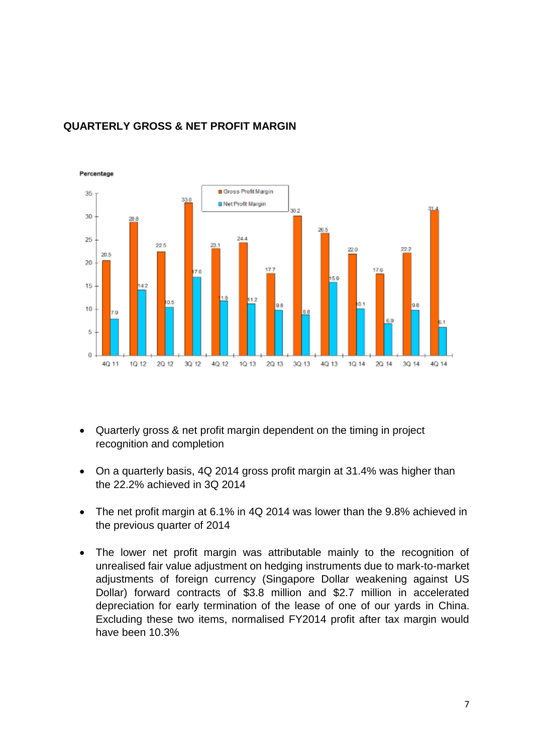

## **QUARTERLY GROSS & NET PROFIT MARGIN**

- Quarterly gross & net profit margin dependent on the timing in project recognition and completion
- On a quarterly basis, 4Q 2014 gross profit margin at 31.4% was higher than the 22.2% achieved in 3Q 2014
- The net profit margin at 6.1% in 4Q 2014 was lower than the 9.8% achieved in the previous quarter of 2014
- The lower net profit margin was attributable mainly to the recognition of unrealised fair value adjustment on hedging instruments due to mark-to-market adjustments of foreign currency (Singapore Dollar weakening against US Dollar) forward contracts of \$3.8 million and \$2.7 million in accelerated depreciation for early termination of the lease of one of our yards in China. Excluding these two items, normalised FY2014 profit after tax margin would have been 10.3%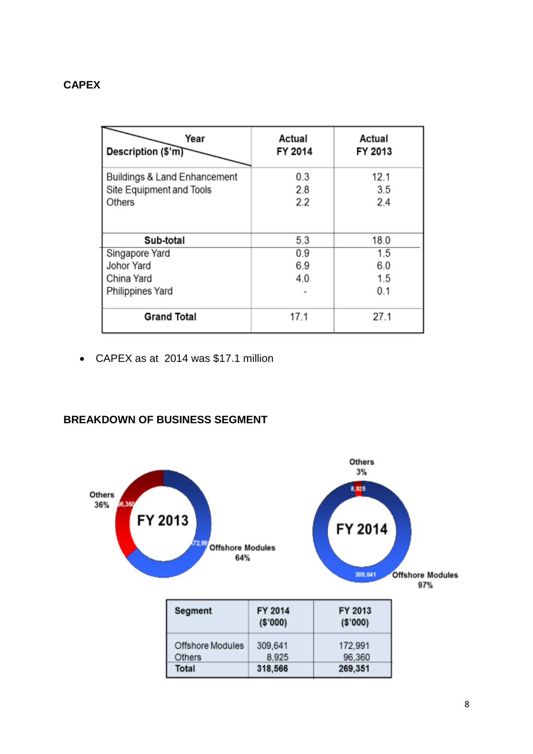## **CAPEX**

| Year<br>Description (\$'m)         | Actual<br>FY 2014 | Actual<br>FY 2013 |
|------------------------------------|-------------------|-------------------|
| Buildings & Land Enhancement       | 0.3               | 12.1              |
| Site Equipment and Tools<br>Others | 2.8<br>2.2        | 3.5<br>2.4        |
| Sub-total                          | 5.3               | 18.0              |
| Singapore Yard                     | 0.9               | 1.5               |
| Johor Yard                         | 6.9               | 6.0               |
| China Yard                         | 4.0               | 1.5               |
| Philippines Yard                   |                   | 0.1               |
| <b>Grand Total</b>                 | 17.1              | 27.1              |

CAPEX as at 2014 was \$17.1 million

## **BREAKDOWN OF BUSINESS SEGMENT**

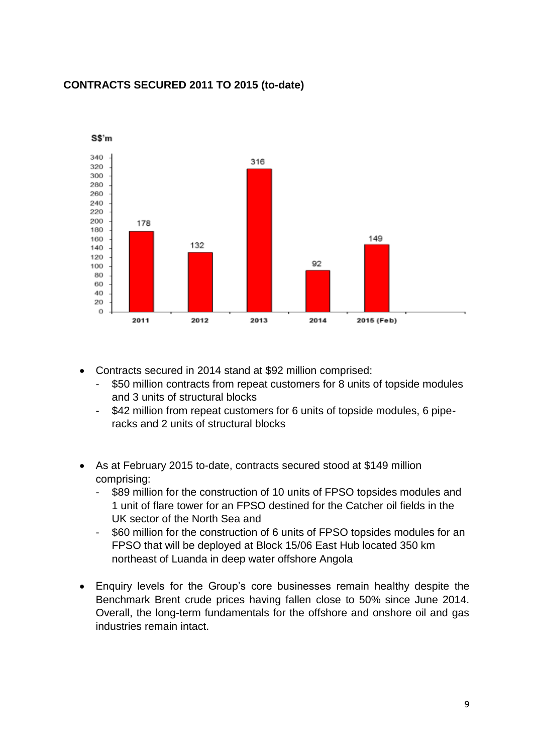## **CONTRACTS SECURED 2011 TO 2015 (to-date)**



- Contracts secured in 2014 stand at \$92 million comprised:
	- \$50 million contracts from repeat customers for 8 units of topside modules and 3 units of structural blocks
	- \$42 million from repeat customers for 6 units of topside modules, 6 piperacks and 2 units of structural blocks
- As at February 2015 to-date, contracts secured stood at \$149 million comprising:
	- \$89 million for the construction of 10 units of FPSO topsides modules and 1 unit of flare tower for an FPSO destined for the Catcher oil fields in the UK sector of the North Sea and
	- \$60 million for the construction of 6 units of FPSO topsides modules for an FPSO that will be deployed at Block 15/06 East Hub located 350 km northeast of Luanda in deep water offshore Angola
- Enquiry levels for the Group's core businesses remain healthy despite the Benchmark Brent crude prices having fallen close to 50% since June 2014. Overall, the long-term fundamentals for the offshore and onshore oil and gas industries remain intact.